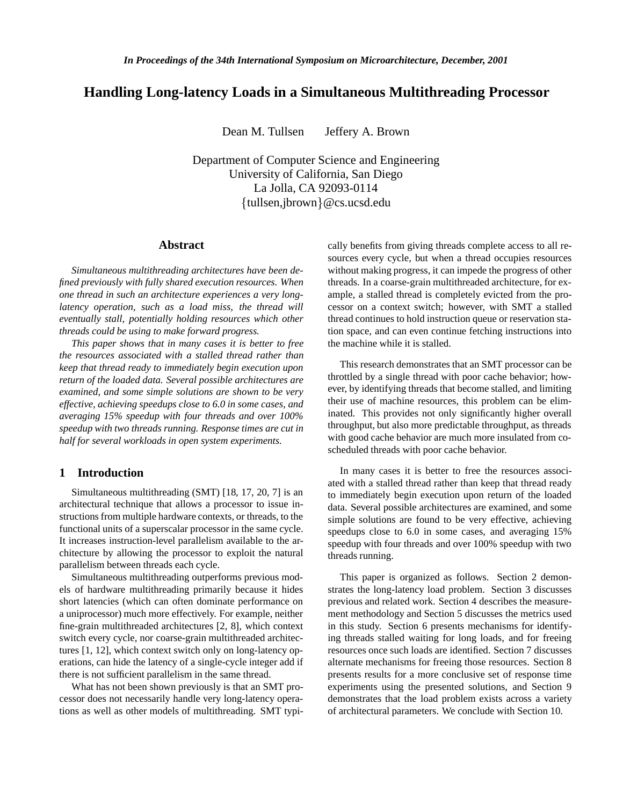# **Handling Long-latency Loads in a Simultaneous Multithreading Processor**

Dean M. Tullsen Jeffery A. Brown

Department of Computer Science and Engineering University of California, San Diego La Jolla, CA 92093-0114  ${\text{tulsen},\text{ibrown}}$ @cs.ucsd.edu

## **Abstract**

*Simultaneous multithreading architectures have been defined previously with fully shared execution resources. When one thread in such an architecture experiences a very longlatency operation, such as a load miss, the thread will eventually stall, potentially holding resources which other threads could be using to make forward progress.*

*This paper shows that in many cases it is better to free the resources associated with a stalled thread rather than keep that thread ready to immediately begin execution upon return of the loaded data. Several possible architectures are examined, and some simple solutions are shown to be very effective, achieving speedups close to 6.0 in some cases, and averaging 15% speedup with four threads and over 100% speedup with two threads running. Response times are cut in half for several workloads in open system experiments.*

### **1 Introduction**

Simultaneous multithreading (SMT) [18, 17, 20, 7] is an architectural technique that allows a processor to issue instructions from multiple hardware contexts, or threads, to the functional units of a superscalar processor in the same cycle. It increases instruction-level parallelism available to the architecture by allowing the processor to exploit the natural parallelism between threads each cycle.

Simultaneous multithreading outperforms previous models of hardware multithreading primarily because it hides short latencies (which can often dominate performance on a uniprocessor) much more effectively. For example, neither fine-grain multithreaded architectures [2, 8], which context switch every cycle, nor coarse-grain multithreaded architectures [1, 12], which context switch only on long-latency operations, can hide the latency of a single-cycle integer add if there is not sufficient parallelism in the same thread.

What has not been shown previously is that an SMT processor does not necessarily handle very long-latency operations as well as other models of multithreading. SMT typically benefits from giving threads complete access to all resources every cycle, but when a thread occupies resources without making progress, it can impede the progress of other threads. In a coarse-grain multithreaded architecture, for example, a stalled thread is completely evicted from the processor on a context switch; however, with SMT a stalled thread continues to hold instruction queue or reservation station space, and can even continue fetching instructions into the machine while it is stalled.

This research demonstrates that an SMT processor can be throttled by a single thread with poor cache behavior; however, by identifying threads that become stalled, and limiting their use of machine resources, this problem can be eliminated. This provides not only significantly higher overall throughput, but also more predictable throughput, as threads with good cache behavior are much more insulated from coscheduled threads with poor cache behavior.

In many cases it is better to free the resources associated with a stalled thread rather than keep that thread ready to immediately begin execution upon return of the loaded data. Several possible architectures are examined, and some simple solutions are found to be very effective, achieving speedups close to 6.0 in some cases, and averaging 15% speedup with four threads and over 100% speedup with two threads running.

This paper is organized as follows. Section 2 demonstrates the long-latency load problem. Section 3 discusses previous and related work. Section 4 describes the measurement methodology and Section 5 discusses the metrics used in this study. Section 6 presents mechanisms for identifying threads stalled waiting for long loads, and for freeing resources once such loads are identified. Section 7 discusses alternate mechanisms for freeing those resources. Section 8 presents results for a more conclusive set of response time experiments using the presented solutions, and Section 9 demonstrates that the load problem exists across a variety of architectural parameters. We conclude with Section 10.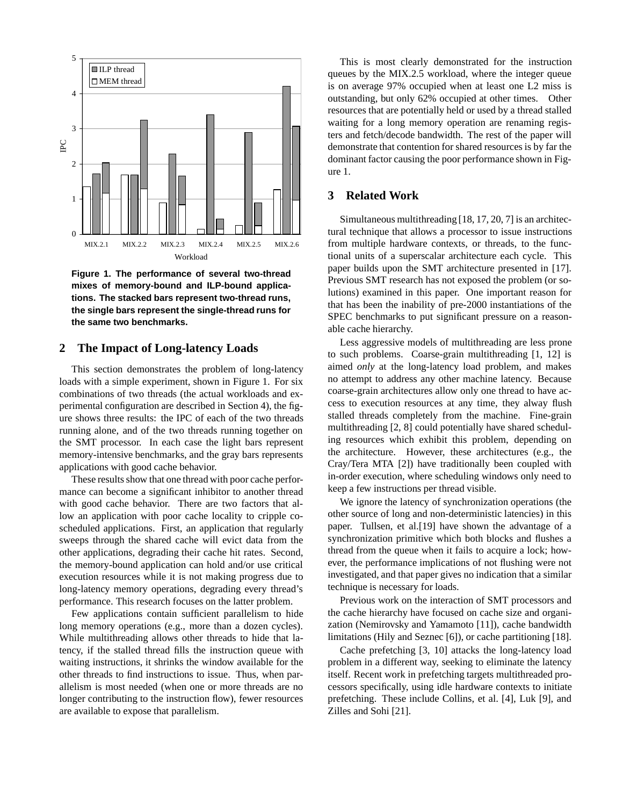

**Figure 1. The performance of several two-thread mixes of memory-bound and ILP-bound applications. The stacked bars represent two-thread runs, the single bars represent the single-thread runs for the same two benchmarks.**

### **2 The Impact of Long-latency Loads**

This section demonstrates the problem of long-latency loads with a simple experiment, shown in Figure 1. For six combinations of two threads (the actual workloads and experimental configuration are described in Section 4), the figure shows three results: the IPC of each of the two threads running alone, and of the two threads running together on the SMT processor. In each case the light bars represent memory-intensive benchmarks, and the gray bars represents applications with good cache behavior.

These results show that one thread with poor cache performance can become a significant inhibitor to another thread with good cache behavior. There are two factors that allow an application with poor cache locality to cripple coscheduled applications. First, an application that regularly sweeps through the shared cache will evict data from the other applications, degrading their cache hit rates. Second, the memory-bound application can hold and/or use critical execution resources while it is not making progress due to long-latency memory operations, degrading every thread's performance. This research focuses on the latter problem.

Few applications contain sufficient parallelism to hide long memory operations (e.g., more than a dozen cycles). While multithreading allows other threads to hide that latency, if the stalled thread fills the instruction queue with waiting instructions, it shrinks the window available for the other threads to find instructions to issue. Thus, when parallelism is most needed (when one or more threads are no longer contributing to the instruction flow), fewer resources are available to expose that parallelism.

This is most clearly demonstrated for the instruction queues by the MIX.2.5 workload, where the integer queue is on average 97% occupied when at least one L2 miss is outstanding, but only 62% occupied at other times. Other resources that are potentially held or used by a thread stalled waiting for a long memory operation are renaming registers and fetch/decode bandwidth. The rest of the paper will demonstrate that contention for shared resources is by far the dominant factor causing the poor performance shown in Figure 1.

### **3 Related Work**

Simultaneous multithreading [18, 17, 20, 7] is an architectural technique that allows a processor to issue instructions from multiple hardware contexts, or threads, to the functional units of a superscalar architecture each cycle. This paper builds upon the SMT architecture presented in [17]. Previous SMT research has not exposed the problem (or solutions) examined in this paper. One important reason for that has been the inability of pre-2000 instantiations of the SPEC benchmarks to put significant pressure on a reasonable cache hierarchy.

Less aggressive models of multithreading are less prone to such problems. Coarse-grain multithreading [1, 12] is aimed *only* at the long-latency load problem, and makes no attempt to address any other machine latency. Because coarse-grain architectures allow only one thread to have access to execution resources at any time, they alway flush stalled threads completely from the machine. Fine-grain multithreading [2, 8] could potentially have shared scheduling resources which exhibit this problem, depending on the architecture. However, these architectures (e.g., the Cray/Tera MTA [2]) have traditionally been coupled with in-order execution, where scheduling windows only need to keep a few instructions per thread visible.

We ignore the latency of synchronization operations (the other source of long and non-deterministic latencies) in this paper. Tullsen, et al.[19] have shown the advantage of a synchronization primitive which both blocks and flushes a thread from the queue when it fails to acquire a lock; however, the performance implications of not flushing were not investigated, and that paper gives no indication that a similar technique is necessary for loads.

Previous work on the interaction of SMT processors and the cache hierarchy have focused on cache size and organization (Nemirovsky and Yamamoto [11]), cache bandwidth limitations (Hily and Seznec [6]), or cache partitioning [18].

Cache prefetching [3, 10] attacks the long-latency load problem in a different way, seeking to eliminate the latency itself. Recent work in prefetching targets multithreaded processors specifically, using idle hardware contexts to initiate prefetching. These include Collins, et al. [4], Luk [9], and Zilles and Sohi [21].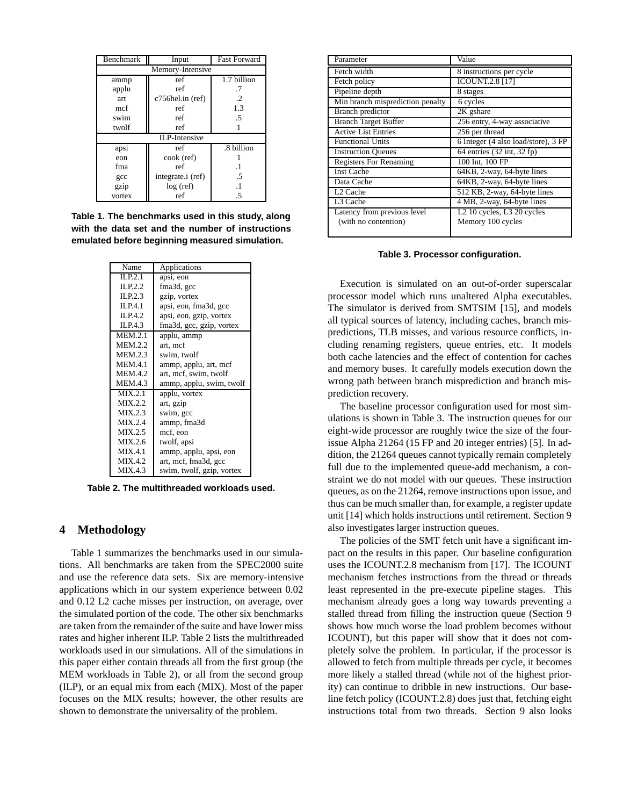| Benchmark            | Input             | <b>Fast Forward</b> |  |
|----------------------|-------------------|---------------------|--|
| Memory-Intensive     |                   |                     |  |
| ammp                 | ref               | $1.7$ billion       |  |
| applu                | ref               | .7                  |  |
| art                  | c756hel.in (ref)  | $\cdot$             |  |
| mcf                  | ref               | 1.3                 |  |
| swim                 | ref               | .5                  |  |
| twolf                | ref               |                     |  |
| <b>ILP-Intensive</b> |                   |                     |  |
| apsi                 | ref               | .8 billion          |  |
| eon                  | cook (ref)        |                     |  |
| fma                  | ref               | $\cdot$ 1           |  |
| gcc                  | integrate.i (ref) | .5                  |  |
| gzip                 | log (ref)         | $\overline{1}$      |  |
| vortex               | ref               | .5                  |  |

**Table 1. The benchmarks used in this study, along with the data set and the number of instructions emulated before beginning measured simulation.**

| Name           | Applications              |  |
|----------------|---------------------------|--|
| ILP.2.1        | apsi, eon                 |  |
| ILP.2.2        | fma3d, gcc                |  |
| ILP.2.3        | gzip, vortex              |  |
| ILP.4.1        | apsi, eon, fma3d, gcc     |  |
| ILP.4.2        | apsi, eon, gzip, vortex   |  |
| ILP.4.3        | fma3d, gcc, gzip, vortex  |  |
| <b>MEM.2.1</b> | applu, ammp               |  |
| <b>MEM.2.2</b> | art, mcf                  |  |
| <b>MEM.2.3</b> | swim, twolf               |  |
| <b>MEM.4.1</b> | ammp, applu, art, mcf     |  |
| <b>MEM.4.2</b> | art, mcf, swim, twolf     |  |
| <b>MEM.4.3</b> | ammp, applu, swim, twolf  |  |
| MIX.2.1        | applu, vortex             |  |
| MIX.2.2        | art, gzip                 |  |
| MIX.2.3        | swim, gcc                 |  |
| MIX.2.4        | ammp, fma3d               |  |
| MIX.2.5        | mcf, eon                  |  |
| MIX.2.6        | twolf, apsi               |  |
| MIX.4.1        | ammp, applu, apsi, eon    |  |
| MIX.4.2        | art, mcf, fma3d, gcc      |  |
| MIX.4.3        | swim, twolf, gzip, vortex |  |

**Table 2. The multithreaded workloads used.**

### **4 Methodology**

Table 1 summarizes the benchmarks used in our simulations. All benchmarks are taken from the SPEC2000 suite and use the reference data sets. Six are memory-intensive applications which in our system experience between 0.02 and 0.12 L2 cache misses per instruction, on average, over the simulated portion of the code. The other six benchmarks are taken from the remainder of the suite and have lower miss rates and higher inherent ILP. Table 2 lists the multithreaded workloads used in our simulations. All of the simulations in this paper either contain threads all from the first group (the MEM workloads in Table 2), or all from the second group (ILP), or an equal mix from each (MIX). Most of the paper focuses on the MIX results; however, the other results are shown to demonstrate the universality of the problem.

| Parameter                        | Value                               |
|----------------------------------|-------------------------------------|
| Fetch width                      | 8 instructions per cycle            |
| Fetch policy                     | <b>ICOUNT.2.8 [17]</b>              |
| Pipeline depth                   | 8 stages                            |
| Min branch misprediction penalty | 6 cycles                            |
| Branch predictor                 | 2K gshare                           |
| <b>Branch Target Buffer</b>      | 256 entry, 4-way associative        |
| <b>Active List Entries</b>       | 256 per thread                      |
| <b>Functional Units</b>          | 6 Integer (4 also load/store), 3 FP |
| <b>Instruction Queues</b>        | 64 entries (32 int, 32 fp)          |
| <b>Registers For Renaming</b>    | 100 Int, 100 FP                     |
| <b>Inst Cache</b>                | 64KB, 2-way, 64-byte lines          |
| Data Cache                       | 64KB, 2-way, 64-byte lines          |
| L <sub>2</sub> Cache             | 512 KB, 2-way, 64-byte lines        |
| L3 Cache                         | 4 MB, 2-way, 64-byte lines          |
| Latency from previous level      | $L2$ 10 cycles, L3 20 cycles        |
| (with no contention)             | Memory 100 cycles                   |
|                                  |                                     |

**Table 3. Processor configuration.**

Execution is simulated on an out-of-order superscalar processor model which runs unaltered Alpha executables. The simulator is derived from SMTSIM [15], and models all typical sources of latency, including caches, branch mispredictions, TLB misses, and various resource conflicts, including renaming registers, queue entries, etc. It models both cache latencies and the effect of contention for caches and memory buses. It carefully models execution down the wrong path between branch misprediction and branch misprediction recovery.

The baseline processor configuration used for most simulations is shown in Table 3. The instruction queues for our eight-wide processor are roughly twice the size of the fourissue Alpha 21264 (15 FP and 20 integer entries) [5]. In addition, the 21264 queues cannot typically remain completely full due to the implemented queue-add mechanism, a constraint we do not model with our queues. These instruction queues, as on the 21264, remove instructions upon issue, and thus can be much smaller than, for example, a register update unit [14] which holds instructions until retirement. Section 9 also investigates larger instruction queues.

The policies of the SMT fetch unit have a significant impact on the results in this paper. Our baseline configuration uses the ICOUNT.2.8 mechanism from [17]. The ICOUNT mechanism fetches instructions from the thread or threads least represented in the pre-execute pipeline stages. This mechanism already goes a long way towards preventing a stalled thread from filling the instruction queue (Section 9 shows how much worse the load problem becomes without ICOUNT), but this paper will show that it does not completely solve the problem. In particular, if the processor is allowed to fetch from multiple threads per cycle, it becomes more likely a stalled thread (while not of the highest priority) can continue to dribble in new instructions. Our baseline fetch policy (ICOUNT.2.8) does just that, fetching eight instructions total from two threads. Section 9 also looks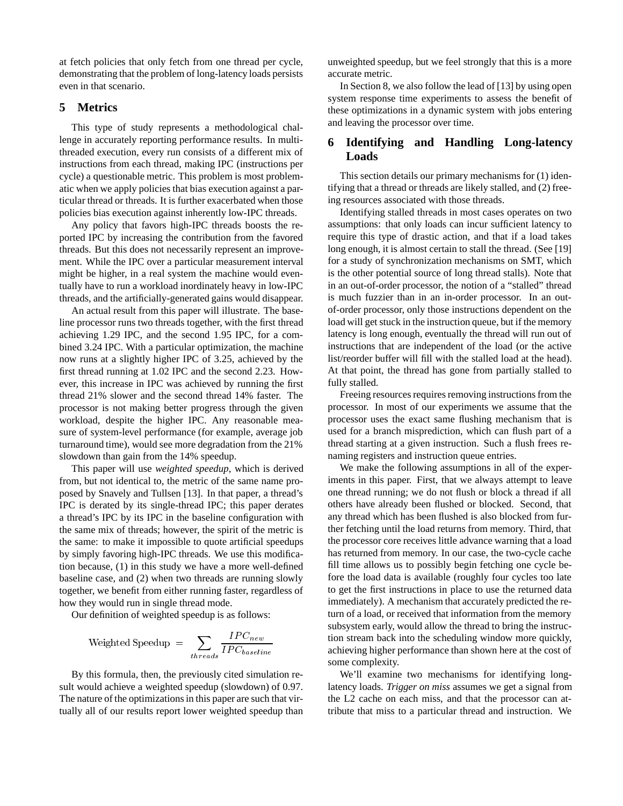at fetch policies that only fetch from one thread per cycle, demonstrating that the problem of long-latency loads persists even in that scenario.

## **5 Metrics**

This type of study represents a methodological challenge in accurately reporting performance results. In multithreaded execution, every run consists of a different mix of instructions from each thread, making IPC (instructions per cycle) a questionable metric. This problem is most problematic when we apply policies that bias execution against a particular thread or threads. It is further exacerbated when those policies bias execution against inherently low-IPC threads.

Any policy that favors high-IPC threads boosts the reported IPC by increasing the contribution from the favored threads. But this does not necessarily represent an improvement. While the IPC over a particular measurement interval might be higher, in a real system the machine would eventually have to run a workload inordinately heavy in low-IPC threads, and the artificially-generated gains would disappear.

An actual result from this paper will illustrate. The baseline processor runs two threads together, with the first thread achieving 1.29 IPC, and the second 1.95 IPC, for a combined 3.24 IPC. With a particular optimization, the machine now runs at a slightly higher IPC of 3.25, achieved by the first thread running at 1.02 IPC and the second 2.23. However, this increase in IPC was achieved by running the first thread 21% slower and the second thread 14% faster. The processor is not making better progress through the given workload, despite the higher IPC. Any reasonable measure of system-level performance (for example, average job turnaround time), would see more degradation from the 21% slowdown than gain from the 14% speedup.

This paper will use *weighted speedup*, which is derived from, but not identical to, the metric of the same name proposed by Snavely and Tullsen [13]. In that paper, a thread's IPC is derated by its single-thread IPC; this paper derates a thread's IPC by its IPC in the baseline configuration with the same mix of threads; however, the spirit of the metric is the same: to make it impossible to quote artificial speedups by simply favoring high-IPC threads. We use this modification because, (1) in this study we have a more well-defined baseline case, and (2) when two threads are running slowly together, we benefit from either running faster, regardless of how they would run in single thread mode.

Our definition of weighted speedup is as follows:

Weighted Speedup = 
$$
\sum_{thresholds} \frac{IPC_{new}}{IPC_{baseline}}
$$

By this formula, then, the previously cited simulation result would achieve a weighted speedup (slowdown) of 0.97. The nature of the optimizations in this paper are such that virtually all of our results report lower weighted speedup than unweighted speedup, but we feel strongly that this is a more accurate metric.

In Section 8, we also follow the lead of [13] by using open system response time experiments to assess the benefit of these optimizations in a dynamic system with jobs entering and leaving the processor over time.

## **6 Identifying and Handling Long-latency Loads**

This section details our primary mechanisms for (1) identifying that a thread or threads are likely stalled, and (2) freeing resources associated with those threads.

Identifying stalled threads in most cases operates on two assumptions: that only loads can incur sufficient latency to require this type of drastic action, and that if a load takes long enough, it is almost certain to stall the thread. (See [19] for a study of synchronization mechanisms on SMT, which is the other potential source of long thread stalls). Note that in an out-of-order processor, the notion of a "stalled" thread is much fuzzier than in an in-order processor. In an outof-order processor, only those instructions dependent on the load will get stuck in the instruction queue, but if the memory latency is long enough, eventually the thread will run out of instructions that are independent of the load (or the active list/reorder buffer will fill with the stalled load at the head). At that point, the thread has gone from partially stalled to fully stalled.

Freeing resources requires removing instructions from the processor. In most of our experiments we assume that the processor uses the exact same flushing mechanism that is used for a branch misprediction, which can flush part of a thread starting at a given instruction. Such a flush frees renaming registers and instruction queue entries.

We make the following assumptions in all of the experiments in this paper. First, that we always attempt to leave one thread running; we do not flush or block a thread if all others have already been flushed or blocked. Second, that any thread which has been flushed is also blocked from further fetching until the load returns from memory. Third, that the processor core receives little advance warning that a load has returned from memory. In our case, the two-cycle cache fill time allows us to possibly begin fetching one cycle before the load data is available (roughly four cycles too late to get the first instructions in place to use the returned data immediately). A mechanism that accurately predicted the return of a load, or received that information from the memory subsystem early, would allow the thread to bring the instruction stream back into the scheduling window more quickly, achieving higher performance than shown here at the cost of some complexity.

We'll examine two mechanisms for identifying longlatency loads. *Trigger on miss* assumes we get a signal from the L2 cache on each miss, and that the processor can attribute that miss to a particular thread and instruction. We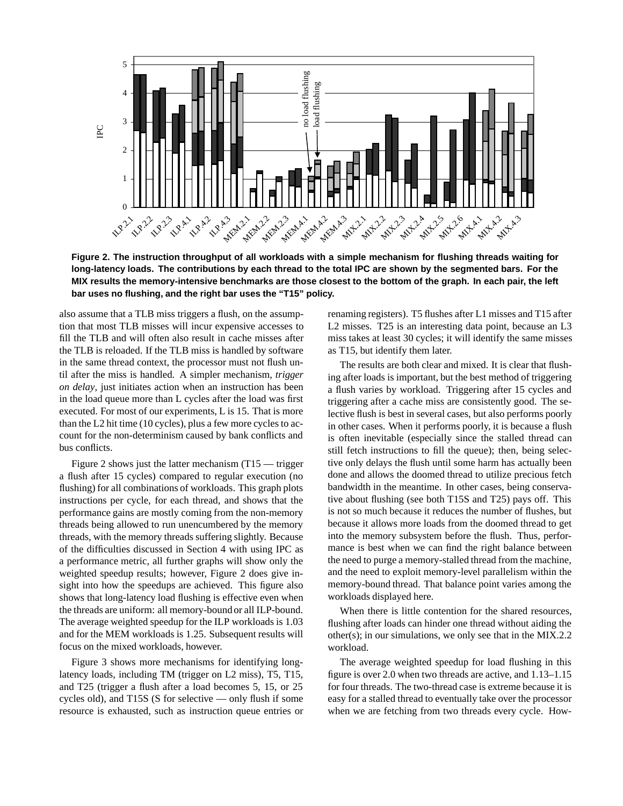

**Figure 2. The instruction throughput of all workloads with a simple mechanism for flushing threads waiting for long-latency loads. The contributions by each thread to the total IPC are shown by the segmented bars. For the MIX results the memory-intensive benchmarks are those closest to the bottom of the graph. In each pair, the left bar uses no flushing, and the right bar uses the "T15" policy.**

also assume that a TLB miss triggers a flush, on the assumption that most TLB misses will incur expensive accesses to fill the TLB and will often also result in cache misses after the TLB is reloaded. If the TLB miss is handled by software in the same thread context, the processor must not flush until after the miss is handled. A simpler mechanism, *trigger on delay*, just initiates action when an instruction has been in the load queue more than L cycles after the load was first executed. For most of our experiments, L is 15. That is more than the L2 hit time (10 cycles), plus a few more cycles to account for the non-determinism caused by bank conflicts and bus conflicts.

Figure 2 shows just the latter mechanism (T15 — trigger a flush after 15 cycles) compared to regular execution (no flushing) for all combinations of workloads. This graph plots instructions per cycle, for each thread, and shows that the performance gains are mostly coming from the non-memory threads being allowed to run unencumbered by the memory threads, with the memory threads suffering slightly. Because of the difficulties discussed in Section 4 with using IPC as a performance metric, all further graphs will show only the weighted speedup results; however, Figure 2 does give insight into how the speedups are achieved. This figure also shows that long-latency load flushing is effective even when the threads are uniform: all memory-bound or all ILP-bound. The average weighted speedup for the ILP workloads is 1.03 and for the MEM workloads is 1.25. Subsequent results will focus on the mixed workloads, however.

Figure 3 shows more mechanisms for identifying longlatency loads, including TM (trigger on L2 miss), T5, T15, and T25 (trigger a flush after a load becomes 5, 15, or 25 cycles old), and T15S (S for selective — only flush if some resource is exhausted, such as instruction queue entries or

renaming registers). T5 flushes after L1 misses and T15 after L2 misses. T25 is an interesting data point, because an L3 miss takes at least 30 cycles; it will identify the same misses as T15, but identify them later.

The results are both clear and mixed. It is clear that flushing after loads is important, but the best method of triggering a flush varies by workload. Triggering after 15 cycles and triggering after a cache miss are consistently good. The selective flush is best in several cases, but also performs poorly in other cases. When it performs poorly, it is because a flush is often inevitable (especially since the stalled thread can still fetch instructions to fill the queue); then, being selective only delays the flush until some harm has actually been done and allows the doomed thread to utilize precious fetch bandwidth in the meantime. In other cases, being conservative about flushing (see both T15S and T25) pays off. This is not so much because it reduces the number of flushes, but because it allows more loads from the doomed thread to get into the memory subsystem before the flush. Thus, performance is best when we can find the right balance between the need to purge a memory-stalled thread from the machine, and the need to exploit memory-level parallelism within the memory-bound thread. That balance point varies among the workloads displayed here.

When there is little contention for the shared resources, flushing after loads can hinder one thread without aiding the other(s); in our simulations, we only see that in the MIX.2.2 workload.

The average weighted speedup for load flushing in this figure is over 2.0 when two threads are active, and 1.13–1.15 for four threads. The two-thread case is extreme because it is easy for a stalled thread to eventually take over the processor when we are fetching from two threads every cycle. How-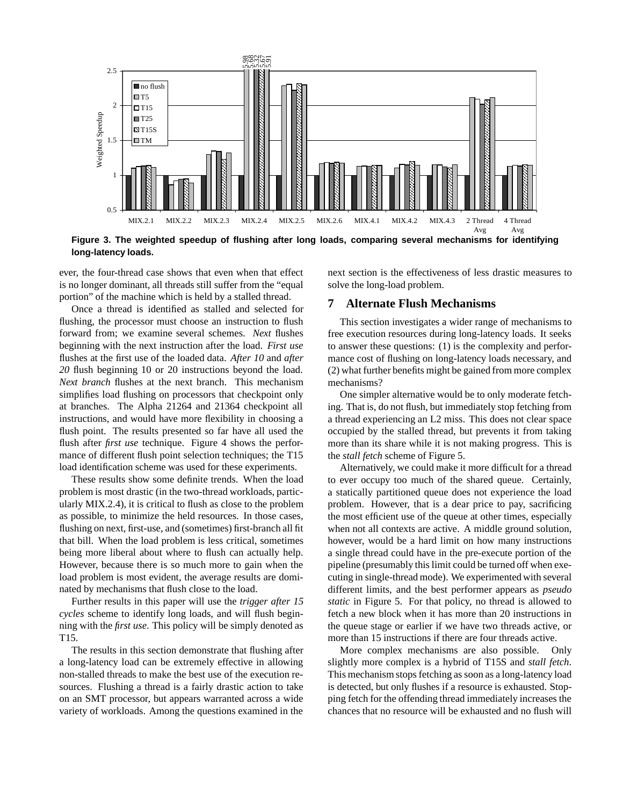

**Figure 3. The weighted speedup of flushing after long loads, comparing several mechanisms for identifying long-latency loads.**

ever, the four-thread case shows that even when that effect is no longer dominant, all threads still suffer from the "equal portion" of the machine which is held by a stalled thread.

Once a thread is identified as stalled and selected for flushing, the processor must choose an instruction to flush forward from; we examine several schemes. *Next* flushes beginning with the next instruction after the load. *First use* flushes at the first use of the loaded data. *After 10* and *after 20* flush beginning 10 or 20 instructions beyond the load. *Next branch* flushes at the next branch. This mechanism simplifies load flushing on processors that checkpoint only at branches. The Alpha 21264 and 21364 checkpoint all instructions, and would have more flexibility in choosing a flush point. The results presented so far have all used the flush after *first use* technique. Figure 4 shows the performance of different flush point selection techniques; the T15 load identification scheme was used for these experiments.

These results show some definite trends. When the load problem is most drastic (in the two-thread workloads, particularly MIX.2.4), it is critical to flush as close to the problem as possible, to minimize the held resources. In those cases, flushing on next, first-use, and (sometimes) first-branch all fit that bill. When the load problem is less critical, sometimes being more liberal about where to flush can actually help. However, because there is so much more to gain when the load problem is most evident, the average results are dominated by mechanisms that flush close to the load.

Further results in this paper will use the *trigger after 15 cycles* scheme to identify long loads, and will flush beginning with the *first use*. This policy will be simply denoted as T15.

The results in this section demonstrate that flushing after a long-latency load can be extremely effective in allowing non-stalled threads to make the best use of the execution resources. Flushing a thread is a fairly drastic action to take on an SMT processor, but appears warranted across a wide variety of workloads. Among the questions examined in the

next section is the effectiveness of less drastic measures to solve the long-load problem.

### **7 Alternate Flush Mechanisms**

This section investigates a wider range of mechanisms to free execution resources during long-latency loads. It seeks to answer these questions: (1) is the complexity and performance cost of flushing on long-latency loads necessary, and (2) what further benefits might be gained from more complex mechanisms?

One simpler alternative would be to only moderate fetching. That is, do not flush, but immediately stop fetching from a thread experiencing an L2 miss. This does not clear space occupied by the stalled thread, but prevents it from taking more than its share while it is not making progress. This is the *stall fetch* scheme of Figure 5.

Alternatively, we could make it more difficult for a thread to ever occupy too much of the shared queue. Certainly, a statically partitioned queue does not experience the load problem. However, that is a dear price to pay, sacrificing the most efficient use of the queue at other times, especially when not all contexts are active. A middle ground solution, however, would be a hard limit on how many instructions a single thread could have in the pre-execute portion of the pipeline (presumably this limit could be turned off when executing in single-thread mode). We experimented with several different limits, and the best performer appears as *pseudo static* in Figure 5. For that policy, no thread is allowed to fetch a new block when it has more than 20 instructions in the queue stage or earlier if we have two threads active, or more than 15 instructions if there are four threads active.

More complex mechanisms are also possible. Only slightly more complex is a hybrid of T15S and *stall fetch*. This mechanism stops fetching as soon as a long-latency load is detected, but only flushes if a resource is exhausted. Stopping fetch for the offending thread immediately increases the chances that no resource will be exhausted and no flush will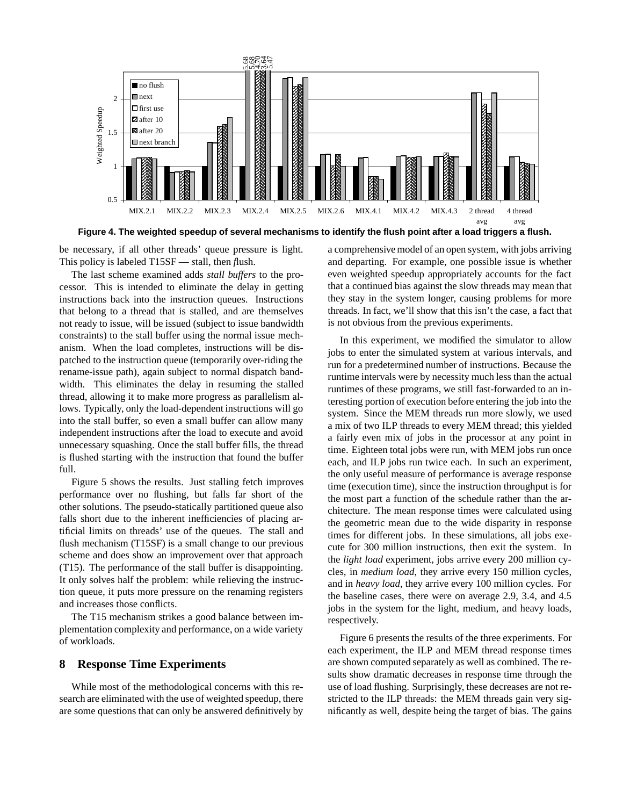

**Figure 4. The weighted speedup of several mechanisms to identify the flush point after a load triggers a flush.**

be necessary, if all other threads' queue pressure is light. This policy is labeled T15SF — *s*tall, then *f*lush.

The last scheme examined adds *stall buffers* to the processor. This is intended to eliminate the delay in getting instructions back into the instruction queues. Instructions that belong to a thread that is stalled, and are themselves not ready to issue, will be issued (subject to issue bandwidth constraints) to the stall buffer using the normal issue mechanism. When the load completes, instructions will be dispatched to the instruction queue (temporarily over-riding the rename-issue path), again subject to normal dispatch bandwidth. This eliminates the delay in resuming the stalled thread, allowing it to make more progress as parallelism allows. Typically, only the load-dependent instructions will go into the stall buffer, so even a small buffer can allow many independent instructions after the load to execute and avoid unnecessary squashing. Once the stall buffer fills, the thread is flushed starting with the instruction that found the buffer full.

Figure 5 shows the results. Just stalling fetch improves performance over no flushing, but falls far short of the other solutions. The pseudo-statically partitioned queue also falls short due to the inherent inefficiencies of placing artificial limits on threads' use of the queues. The stall and flush mechanism (T15SF) is a small change to our previous scheme and does show an improvement over that approach (T15). The performance of the stall buffer is disappointing. It only solves half the problem: while relieving the instruction queue, it puts more pressure on the renaming registers and increases those conflicts.

The T15 mechanism strikes a good balance between implementation complexity and performance, on a wide variety of workloads.

### **8 Response Time Experiments**

While most of the methodological concerns with this research are eliminated with the use of weighted speedup, there are some questions that can only be answered definitively by

a comprehensive model of an open system, with jobs arriving and departing. For example, one possible issue is whether even weighted speedup appropriately accounts for the fact that a continued bias against the slow threads may mean that they stay in the system longer, causing problems for more threads. In fact, we'll show that this isn't the case, a fact that is not obvious from the previous experiments.

In this experiment, we modified the simulator to allow jobs to enter the simulated system at various intervals, and run for a predetermined number of instructions. Because the runtime intervals were by necessity much less than the actual runtimes of these programs, we still fast-forwarded to an interesting portion of execution before entering the job into the system. Since the MEM threads run more slowly, we used a mix of two ILP threads to every MEM thread; this yielded a fairly even mix of jobs in the processor at any point in time. Eighteen total jobs were run, with MEM jobs run once each, and ILP jobs run twice each. In such an experiment, the only useful measure of performance is average response time (execution time), since the instruction throughput is for the most part a function of the schedule rather than the architecture. The mean response times were calculated using the geometric mean due to the wide disparity in response times for different jobs. In these simulations, all jobs execute for 300 million instructions, then exit the system. In the *light load* experiment, jobs arrive every 200 million cycles, in *medium load*, they arrive every 150 million cycles, and in *heavy load*, they arrive every 100 million cycles. For the baseline cases, there were on average 2.9, 3.4, and 4.5 jobs in the system for the light, medium, and heavy loads, respectively.

Figure 6 presents the results of the three experiments. For each experiment, the ILP and MEM thread response times are shown computed separately as well as combined. The results show dramatic decreases in response time through the use of load flushing. Surprisingly, these decreases are not restricted to the ILP threads: the MEM threads gain very significantly as well, despite being the target of bias. The gains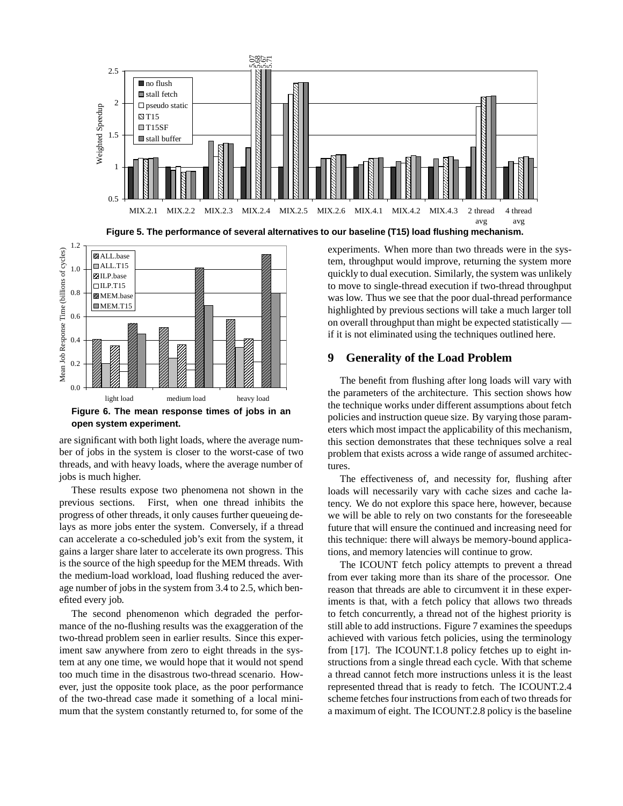



**open system experiment.**

are significant with both light loads, where the average number of jobs in the system is closer to the worst-case of two threads, and with heavy loads, where the average number of jobs is much higher.

These results expose two phenomena not shown in the previous sections. First, when one thread inhibits the progress of other threads, it only causes further queueing delays as more jobs enter the system. Conversely, if a thread can accelerate a co-scheduled job's exit from the system, it gains a larger share later to accelerate its own progress. This is the source of the high speedup for the MEM threads. With the medium-load workload, load flushing reduced the average number of jobs in the system from 3.4 to 2.5, which benefited every job.

The second phenomenon which degraded the performance of the no-flushing results was the exaggeration of the two-thread problem seen in earlier results. Since this experiment saw anywhere from zero to eight threads in the system at any one time, we would hope that it would not spend too much time in the disastrous two-thread scenario. However, just the opposite took place, as the poor performance of the two-thread case made it something of a local minimum that the system constantly returned to, for some of the

experiments. When more than two threads were in the system, throughput would improve, returning the system more quickly to dual execution. Similarly, the system was unlikely to move to single-thread execution if two-thread throughput was low. Thus we see that the poor dual-thread performance highlighted by previous sections will take a much larger toll on overall throughput than might be expected statistically if it is not eliminated using the techniques outlined here.

## **9 Generality of the Load Problem**

The benefit from flushing after long loads will vary with the parameters of the architecture. This section shows how the technique works under different assumptions about fetch policies and instruction queue size. By varying those parameters which most impact the applicability of this mechanism, this section demonstrates that these techniques solve a real problem that exists across a wide range of assumed architectures.

The effectiveness of, and necessity for, flushing after loads will necessarily vary with cache sizes and cache latency. We do not explore this space here, however, because we will be able to rely on two constants for the foreseeable future that will ensure the continued and increasing need for this technique: there will always be memory-bound applications, and memory latencies will continue to grow.

The ICOUNT fetch policy attempts to prevent a thread from ever taking more than its share of the processor. One reason that threads are able to circumvent it in these experiments is that, with a fetch policy that allows two threads to fetch concurrently, a thread not of the highest priority is still able to add instructions. Figure 7 examines the speedups achieved with various fetch policies, using the terminology from [17]. The ICOUNT.1.8 policy fetches up to eight instructions from a single thread each cycle. With that scheme a thread cannot fetch more instructions unless it is the least represented thread that is ready to fetch. The ICOUNT.2.4 scheme fetches four instructions from each of two threads for a maximum of eight. The ICOUNT.2.8 policy is the baseline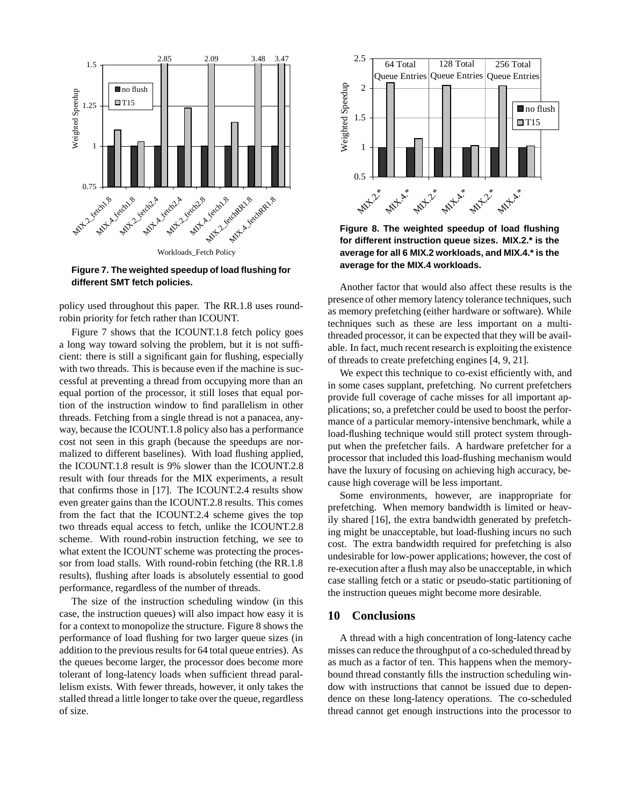

**Figure 7. The weighted speedup of load flushing for different SMT fetch policies.**

policy used throughout this paper. The RR.1.8 uses roundrobin priority for fetch rather than ICOUNT.

Figure 7 shows that the ICOUNT.1.8 fetch policy goes a long way toward solving the problem, but it is not sufficient: there is still a significant gain for flushing, especially with two threads. This is because even if the machine is successful at preventing a thread from occupying more than an equal portion of the processor, it still loses that equal portion of the instruction window to find parallelism in other threads. Fetching from a single thread is not a panacea, anyway, because the ICOUNT.1.8 policy also has a performance cost not seen in this graph (because the speedups are normalized to different baselines). With load flushing applied, the ICOUNT.1.8 result is 9% slower than the ICOUNT.2.8 result with four threads for the MIX experiments, a result that confirms those in [17]. The ICOUNT.2.4 results show even greater gains than the ICOUNT.2.8 results. This comes from the fact that the ICOUNT.2.4 scheme gives the top two threads equal access to fetch, unlike the ICOUNT.2.8 scheme. With round-robin instruction fetching, we see to what extent the ICOUNT scheme was protecting the processor from load stalls. With round-robin fetching (the RR.1.8 results), flushing after loads is absolutely essential to good performance, regardless of the number of threads.

The size of the instruction scheduling window (in this case, the instruction queues) will also impact how easy it is for a context to monopolize the structure. Figure 8 shows the performance of load flushing for two larger queue sizes (in addition to the previous results for 64 total queue entries). As the queues become larger, the processor does become more tolerant of long-latency loads when sufficient thread parallelism exists. With fewer threads, however, it only takes the stalled thread a little longer to take over the queue, regardless of size.



**Figure 8. The weighted speedup of load flushing for different instruction queue sizes. MIX.2.\* is the average for all 6 MIX.2 workloads, and MIX.4.\* is the average for the MIX.4 workloads.**

Another factor that would also affect these results is the presence of other memory latency tolerance techniques, such as memory prefetching (either hardware or software). While techniques such as these are less important on a multithreaded processor, it can be expected that they will be available. In fact, much recent research is exploiting the existence of threads to create prefetching engines [4, 9, 21].

We expect this technique to co-exist efficiently with, and in some cases supplant, prefetching. No current prefetchers provide full coverage of cache misses for all important applications; so, a prefetcher could be used to boost the performance of a particular memory-intensive benchmark, while a load-flushing technique would still protect system throughput when the prefetcher fails. A hardware prefetcher for a processor that included this load-flushing mechanism would have the luxury of focusing on achieving high accuracy, because high coverage will be less important.

Some environments, however, are inappropriate for prefetching. When memory bandwidth is limited or heavily shared [16], the extra bandwidth generated by prefetching might be unacceptable, but load-flushing incurs no such cost. The extra bandwidth required for prefetching is also undesirable for low-power applications; however, the cost of re-execution after a flush may also be unacceptable, in which case stalling fetch or a static or pseudo-static partitioning of the instruction queues might become more desirable.

## **10 Conclusions**

A thread with a high concentration of long-latency cache misses can reduce the throughput of a co-scheduled thread by as much as a factor of ten. This happens when the memorybound thread constantly fills the instruction scheduling window with instructions that cannot be issued due to dependence on these long-latency operations. The co-scheduled thread cannot get enough instructions into the processor to